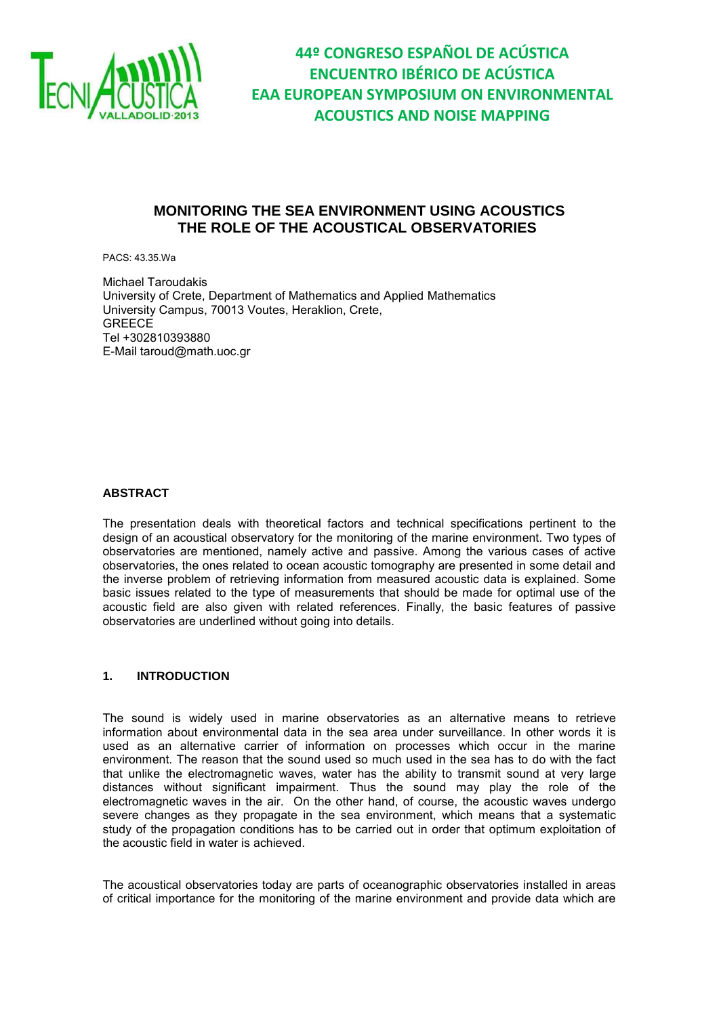

### **MONITORING THE SEA ENVIRONMENT USING ACOUSTICS THE ROLE OF THE ACOUSTICAL OBSERVATORIES**

PACS: 43.35.Wa

Michael Taroudakis University of Crete, Department of Mathematics and Applied Mathematics University Campus, 70013 Voutes, Heraklion, Crete, **GREECE** Tel +302810393880 E-Mail taroud@math.uoc.gr

#### **ABSTRACT**

The presentation deals with theoretical factors and technical specifications pertinent to the design of an acoustical observatory for the monitoring of the marine environment. Two types of observatories are mentioned, namely active and passive. Among the various cases of active observatories, the ones related to ocean acoustic tomography are presented in some detail and the inverse problem of retrieving information from measured acoustic data is explained. Some basic issues related to the type of measurements that should be made for optimal use of the acoustic field are also given with related references. Finally, the basic features of passive observatories are underlined without going into details.

#### **1. INTRODUCTION**

The sound is widely used in marine observatories as an alternative means to retrieve information about environmental data in the sea area under surveillance. In other words it is used as an alternative carrier of information on processes which occur in the marine environment. The reason that the sound used so much used in the sea has to do with the fact that unlike the electromagnetic waves, water has the ability to transmit sound at very large distances without significant impairment. Thus the sound may play the role of the electromagnetic waves in the air. On the other hand, of course, the acoustic waves undergo severe changes as they propagate in the sea environment, which means that a systematic study of the propagation conditions has to be carried out in order that optimum exploitation of the acoustic field in water is achieved.

The acoustical observatories today are parts of oceanographic observatories installed in areas of critical importance for the monitoring of the marine environment and provide data which are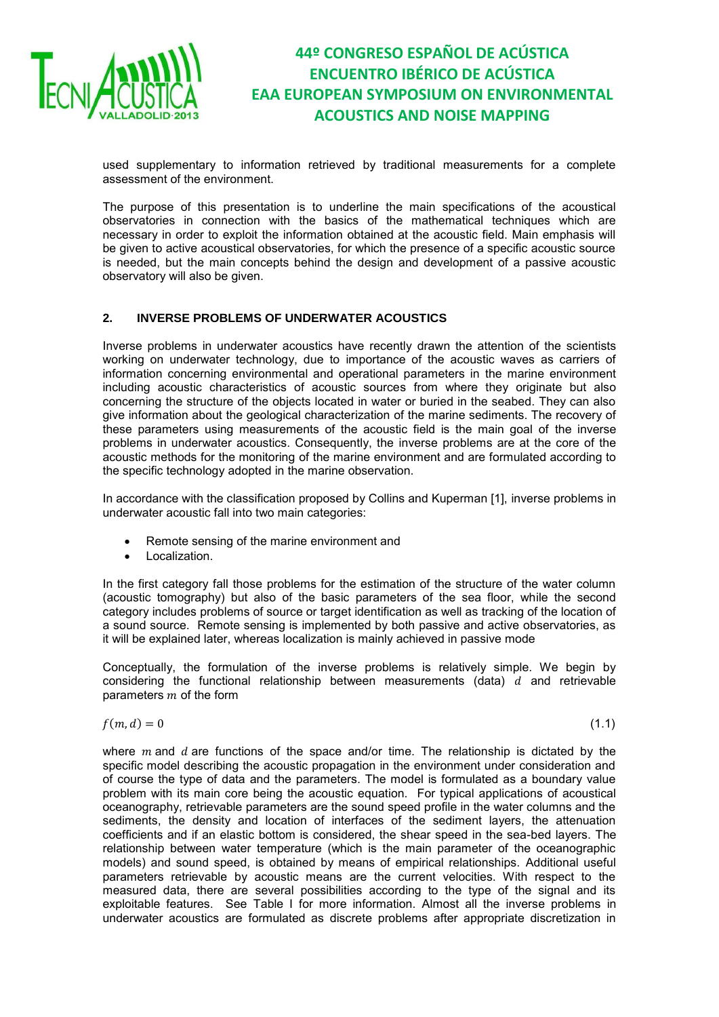

used supplementary to information retrieved by traditional measurements for a complete assessment of the environment.

The purpose of this presentation is to underline the main specifications of the acoustical observatories in connection with the basics of the mathematical techniques which are necessary in order to exploit the information obtained at the acoustic field. Main emphasis will be given to active acoustical observatories, for which the presence of a specific acoustic source is needed, but the main concepts behind the design and development of a passive acoustic observatory will also be given.

#### **2. INVERSE PROBLEMS OF UNDERWATER ACOUSTICS**

Inverse problems in underwater acoustics have recently drawn the attention of the scientists working on underwater technology, due to importance of the acoustic waves as carriers of information concerning environmental and operational parameters in the marine environment including acoustic characteristics of acoustic sources from where they originate but also concerning the structure of the objects located in water or buried in the seabed. They can also give information about the geological characterization of the marine sediments. The recovery of these parameters using measurements of the acoustic field is the main goal of the inverse problems in underwater acoustics. Consequently, the inverse problems are at the core of the acoustic methods for the monitoring of the marine environment and are formulated according to the specific technology adopted in the marine observation.

In accordance with the classification proposed by Collins and Kuperman [1], inverse problems in underwater acoustic fall into two main categories:

- Remote sensing of the marine environment and
- Localization.

In the first category fall those problems for the estimation of the structure of the water column (acoustic tomography) but also of the basic parameters of the sea floor, while the second category includes problems of source or target identification as well as tracking of the location of a sound source. Remote sensing is implemented by both passive and active observatories, as it will be explained later, whereas localization is mainly achieved in passive mode

Conceptually, the formulation of the inverse problems is relatively simple. We begin by considering the functional relationship between measurements (data)  $d$  and retrievable parameters  $m$  of the form

$$
f(m,d) = 0 \tag{1.1}
$$

where  $m$  and  $d$  are functions of the space and/or time. The relationship is dictated by the specific model describing the acoustic propagation in the environment under consideration and of course the type of data and the parameters. The model is formulated as a boundary value problem with its main core being the acoustic equation. For typical applications of acoustical oceanography, retrievable parameters are the sound speed profile in the water columns and the sediments, the density and location of interfaces of the sediment layers, the attenuation coefficients and if an elastic bottom is considered, the shear speed in the sea-bed layers. The relationship between water temperature (which is the main parameter of the oceanographic models) and sound speed, is obtained by means of empirical relationships. Additional useful parameters retrievable by acoustic means are the current velocities. With respect to the measured data, there are several possibilities according to the type of the signal and its exploitable features. See Table I for more information. Almost all the inverse problems in underwater acoustics are formulated as discrete problems after appropriate discretization in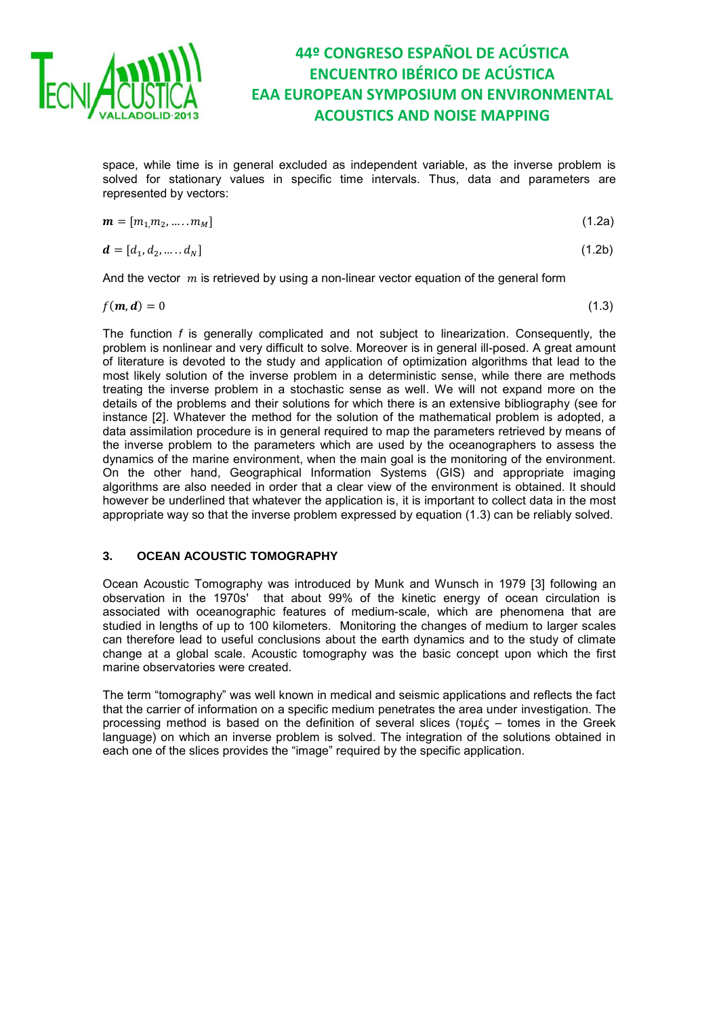

space, while time is in general excluded as independent variable, as the inverse problem is solved for stationary values in specific time intervals. Thus, data and parameters are represented by vectors:

$$
\mathbf{m} = [m_1, m_2, \dots, m_M] \tag{1.2a}
$$

$$
\mathbf{d} = [d_1, d_2, \dots, d_N] \tag{1.2b}
$$

And the vector  $m$  is retrieved by using a non-linear vector equation of the general form

$$
f(m, d) = 0 \tag{1.3}
$$

The function *f* is generally complicated and not subject to linearization. Consequently, the problem is nonlinear and very difficult to solve. Moreover is in general ill-posed. A great amount of literature is devoted to the study and application of optimization algorithms that lead to the most likely solution of the inverse problem in a deterministic sense, while there are methods treating the inverse problem in a stochastic sense as well. We will not expand more on the details of the problems and their solutions for which there is an extensive bibliography (see for instance [2]. Whatever the method for the solution of the mathematical problem is adopted, a data assimilation procedure is in general required to map the parameters retrieved by means of the inverse problem to the parameters which are used by the oceanographers to assess the dynamics of the marine environment, when the main goal is the monitoring of the environment. On the other hand, Geographical Information Systems (GIS) and appropriate imaging algorithms are also needed in order that a clear view of the environment is obtained. It should however be underlined that whatever the application is, it is important to collect data in the most appropriate way so that the inverse problem expressed by equation (1.3) can be reliably solved.

#### **3. OCEAN ACOUSTIC TOMOGRAPHY**

Ocean Acoustic Tomography was introduced by Munk and Wunsch in 1979 [3] following an observation in the 1970s' that about 99% of the kinetic energy of ocean circulation is associated with oceanographic features of medium-scale, which are phenomena that are studied in lengths of up to 100 kilometers. Monitoring the changes of medium to larger scales can therefore lead to useful conclusions about the earth dynamics and to the study of climate change at a global scale. Acoustic tomography was the basic concept upon which the first marine observatories were created.

The term "tomography" was well known in medical and seismic applications and reflects the fact that the carrier of information on a specific medium penetrates the area under investigation. The processing method is based on the definition of several slices (τομές – tomes in the Greek language) on which an inverse problem is solved. The integration of the solutions obtained in each one of the slices provides the "image" required by the specific application.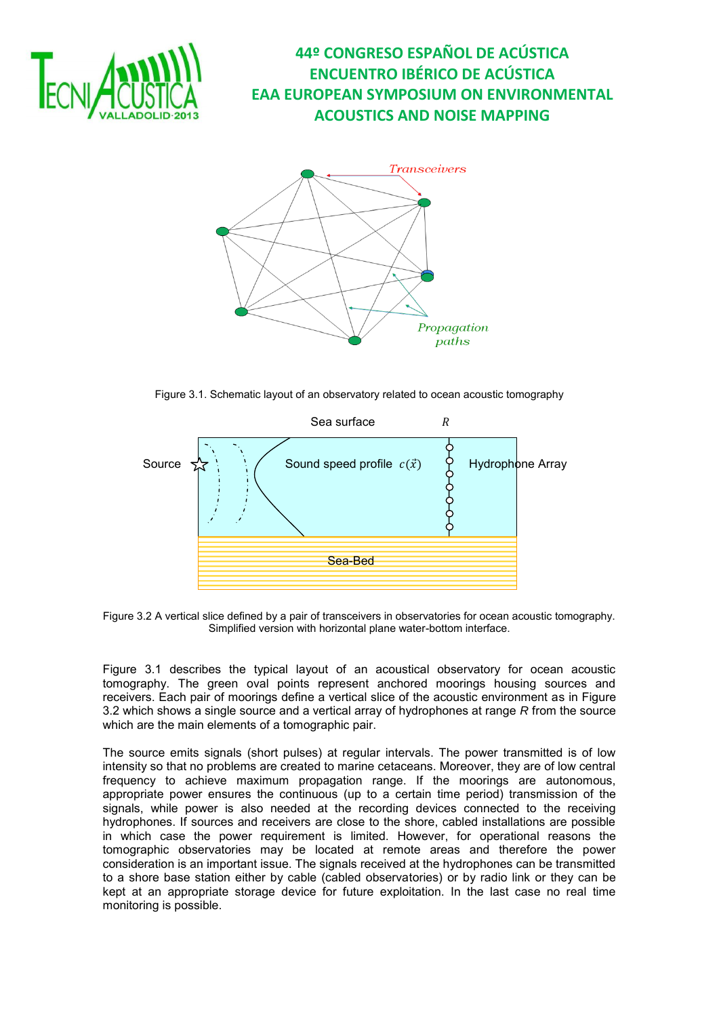



Figure 3.1. Schematic layout of an observatory related to ocean acoustic tomography



Figure 3.2 A vertical slice defined by a pair of transceivers in observatories for ocean acoustic tomography. Simplified version with horizontal plane water-bottom interface.

Figure 3.1 describes the typical layout of an acoustical observatory for ocean acoustic tomography. The green oval points represent anchored moorings housing sources and receivers. Each pair of moorings define a vertical slice of the acoustic environment as in Figure 3.2 which shows a single source and a vertical array of hydrophones at range *R* from the source which are the main elements of a tomographic pair.

The source emits signals (short pulses) at regular intervals. The power transmitted is of low intensity so that no problems are created to marine cetaceans. Moreover, they are of low central frequency to achieve maximum propagation range. If the moorings are autonomous, appropriate power ensures the continuous (up to a certain time period) transmission of the signals, while power is also needed at the recording devices connected to the receiving hydrophones. If sources and receivers are close to the shore, cabled installations are possible in which case the power requirement is limited. However, for operational reasons the tomographic observatories may be located at remote areas and therefore the power consideration is an important issue. The signals received at the hydrophones can be transmitted to a shore base station either by cable (cabled observatories) or by radio link or they can be kept at an appropriate storage device for future exploitation. In the last case no real time monitoring is possible.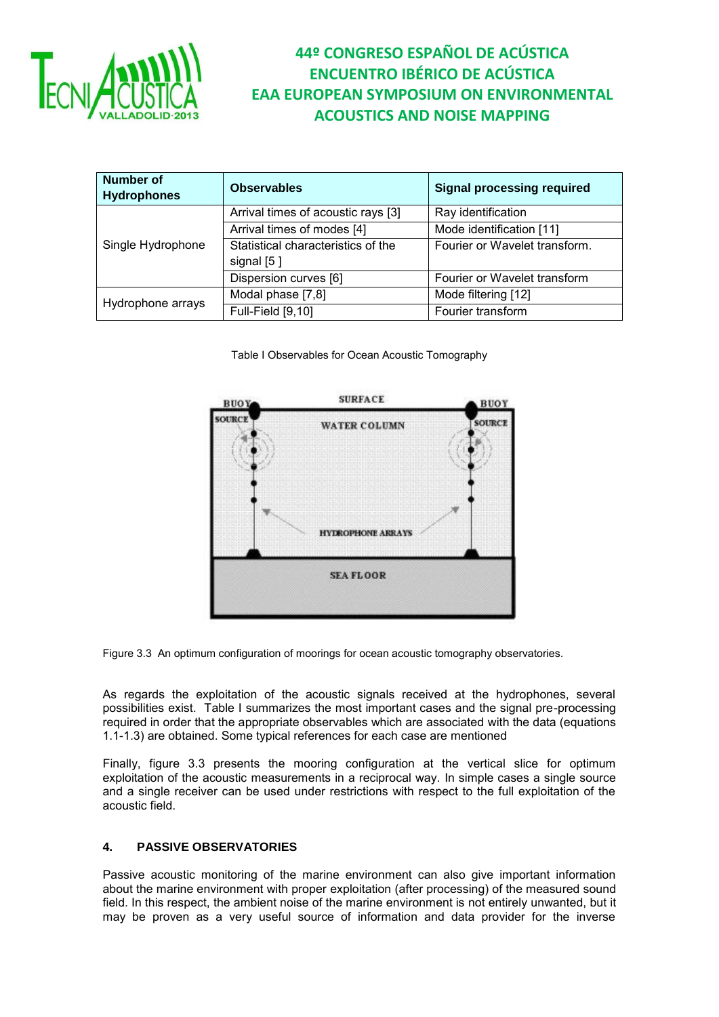

| <b>Number of</b><br><b>Hydrophones</b> | <b>Observables</b>                               | <b>Signal processing required</b> |
|----------------------------------------|--------------------------------------------------|-----------------------------------|
| Single Hydrophone                      | Arrival times of acoustic rays [3]               | Ray identification                |
|                                        | Arrival times of modes [4]                       | Mode identification [11]          |
|                                        | Statistical characteristics of the<br>signal [5] | Fourier or Wavelet transform.     |
|                                        | Dispersion curves [6]                            | Fourier or Wavelet transform      |
| Hydrophone arrays                      | Modal phase [7,8]                                | Mode filtering [12]               |
|                                        | Full-Field [9,10]                                | Fourier transform                 |

Table I Observables for Ocean Acoustic Tomography



Figure 3.3 An optimum configuration of moorings for ocean acoustic tomography observatories.

As regards the exploitation of the acoustic signals received at the hydrophones, several possibilities exist. Table I summarizes the most important cases and the signal pre-processing required in order that the appropriate observables which are associated with the data (equations 1.1-1.3) are obtained. Some typical references for each case are mentioned

Finally, figure 3.3 presents the mooring configuration at the vertical slice for optimum exploitation of the acoustic measurements in a reciprocal way. In simple cases a single source and a single receiver can be used under restrictions with respect to the full exploitation of the acoustic field.

### **4. PASSIVE OBSERVATORIES**

Passive acoustic monitoring of the marine environment can also give important information about the marine environment with proper exploitation (after processing) of the measured sound field. In this respect, the ambient noise of the marine environment is not entirely unwanted, but it may be proven as a very useful source of information and data provider for the inverse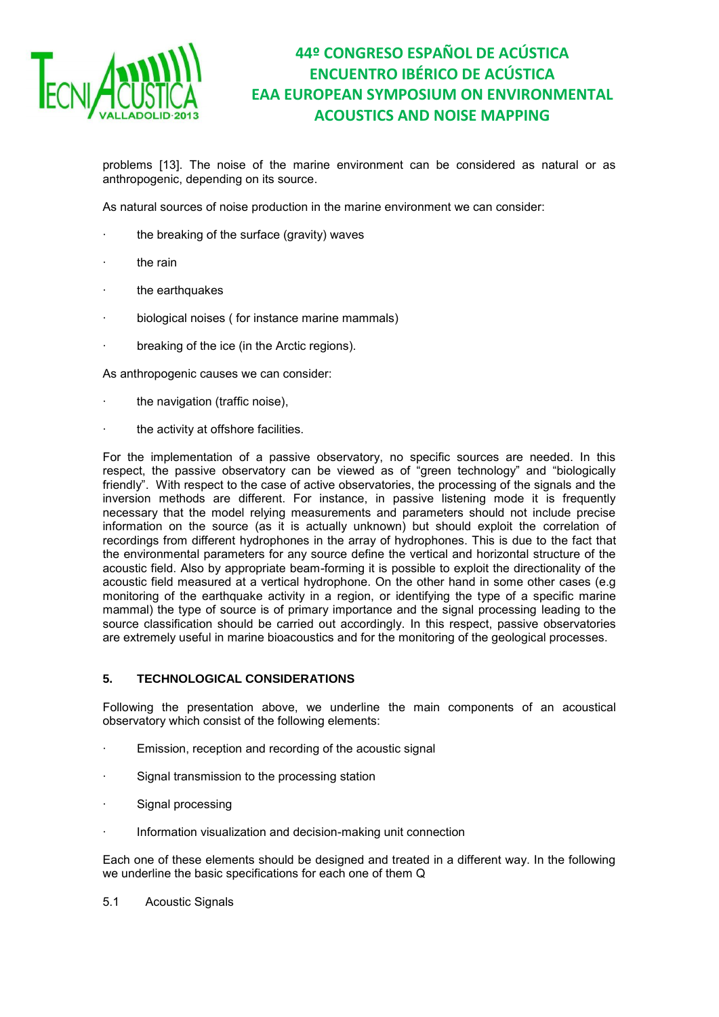

problems [13]. The noise of the marine environment can be considered as natural or as anthropogenic, depending on its source.

As natural sources of noise production in the marine environment we can consider:

- the breaking of the surface (gravity) waves
- the rain
- the earthquakes
- biological noises ( for instance marine mammals)
- breaking of the ice (in the Arctic regions).

As anthropogenic causes we can consider:

- the navigation (traffic noise),
- the activity at offshore facilities.

For the implementation of a passive observatory, no specific sources are needed. In this respect, the passive observatory can be viewed as of "green technology" and "biologically friendly". With respect to the case of active observatories, the processing of the signals and the inversion methods are different. For instance, in passive listening mode it is frequently necessary that the model relying measurements and parameters should not include precise information on the source (as it is actually unknown) but should exploit the correlation of recordings from different hydrophones in the array of hydrophones. This is due to the fact that the environmental parameters for any source define the vertical and horizontal structure of the acoustic field. Also by appropriate beam-forming it is possible to exploit the directionality of the acoustic field measured at a vertical hydrophone. On the other hand in some other cases (e.g monitoring of the earthquake activity in a region, or identifying the type of a specific marine mammal) the type of source is of primary importance and the signal processing leading to the source classification should be carried out accordingly. In this respect, passive observatories are extremely useful in marine bioacoustics and for the monitoring of the geological processes.

#### **5. TECHNOLOGICAL CONSIDERATIONS**

Following the presentation above, we underline the main components of an acoustical observatory which consist of the following elements:

- Emission, reception and recording of the acoustic signal
- Signal transmission to the processing station
- Signal processing
- Information visualization and decision-making unit connection

Each one of these elements should be designed and treated in a different way. In the following we underline the basic specifications for each one of them Q

5.1 Acoustic Signals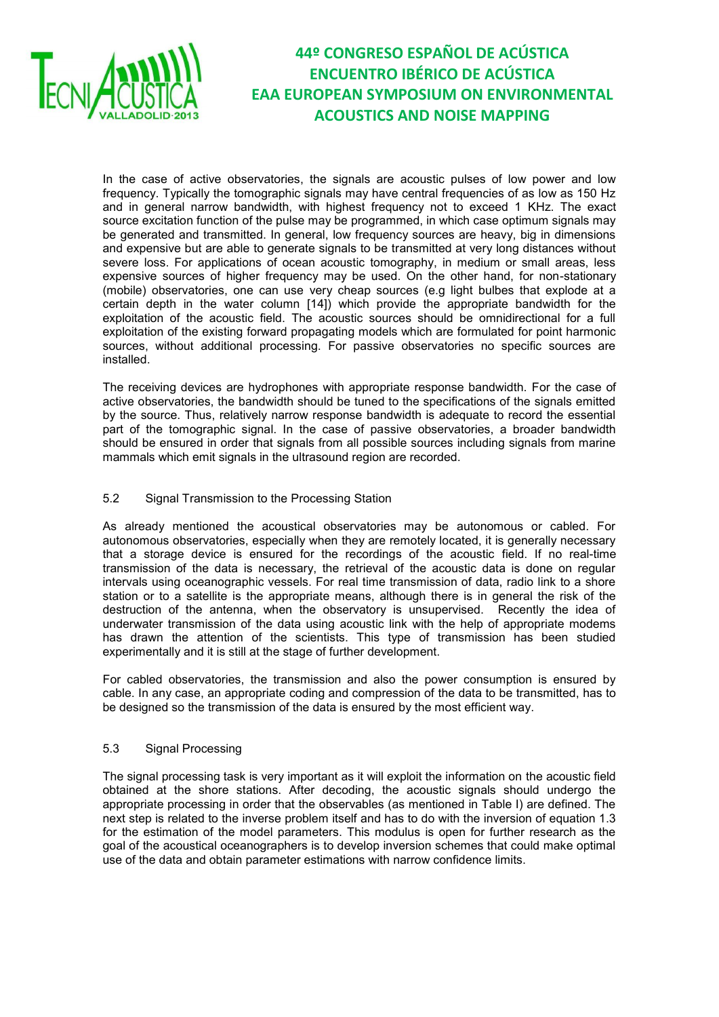

In the case of active observatories, the signals are acoustic pulses of low power and low frequency. Typically the tomographic signals may have central frequencies of as low as 150 Hz and in general narrow bandwidth, with highest frequency not to exceed 1 KHz. The exact source excitation function of the pulse may be programmed, in which case optimum signals may be generated and transmitted. In general, low frequency sources are heavy, big in dimensions and expensive but are able to generate signals to be transmitted at very long distances without severe loss. For applications of ocean acoustic tomography, in medium or small areas, less expensive sources of higher frequency may be used. On the other hand, for non-stationary (mobile) observatories, one can use very cheap sources (e.g light bulbes that explode at a certain depth in the water column [14]) which provide the appropriate bandwidth for the exploitation of the acoustic field. The acoustic sources should be omnidirectional for a full exploitation of the existing forward propagating models which are formulated for point harmonic sources, without additional processing. For passive observatories no specific sources are installed.

The receiving devices are hydrophones with appropriate response bandwidth. For the case of active observatories, the bandwidth should be tuned to the specifications of the signals emitted by the source. Thus, relatively narrow response bandwidth is adequate to record the essential part of the tomographic signal. In the case of passive observatories, a broader bandwidth should be ensured in order that signals from all possible sources including signals from marine mammals which emit signals in the ultrasound region are recorded.

#### 5.2 Signal Transmission to the Processing Station

As already mentioned the acoustical observatories may be autonomous or cabled. For autonomous observatories, especially when they are remotely located, it is generally necessary that a storage device is ensured for the recordings of the acoustic field. If no real-time transmission of the data is necessary, the retrieval of the acoustic data is done on regular intervals using oceanographic vessels. For real time transmission of data, radio link to a shore station or to a satellite is the appropriate means, although there is in general the risk of the destruction of the antenna, when the observatory is unsupervised. Recently the idea of underwater transmission of the data using acoustic link with the help of appropriate modems has drawn the attention of the scientists. This type of transmission has been studied experimentally and it is still at the stage of further development.

For cabled observatories, the transmission and also the power consumption is ensured by cable. In any case, an appropriate coding and compression of the data to be transmitted, has to be designed so the transmission of the data is ensured by the most efficient way.

#### $5.3$ Signal Processing

The signal processing task is very important as it will exploit the information on the acoustic field obtained at the shore stations. After decoding, the acoustic signals should undergo the appropriate processing in order that the observables (as mentioned in Table I) are defined. The next step is related to the inverse problem itself and has to do with the inversion of equation 1.3 for the estimation of the model parameters. This modulus is open for further research as the goal of the acoustical oceanographers is to develop inversion schemes that could make optimal use of the data and obtain parameter estimations with narrow confidence limits.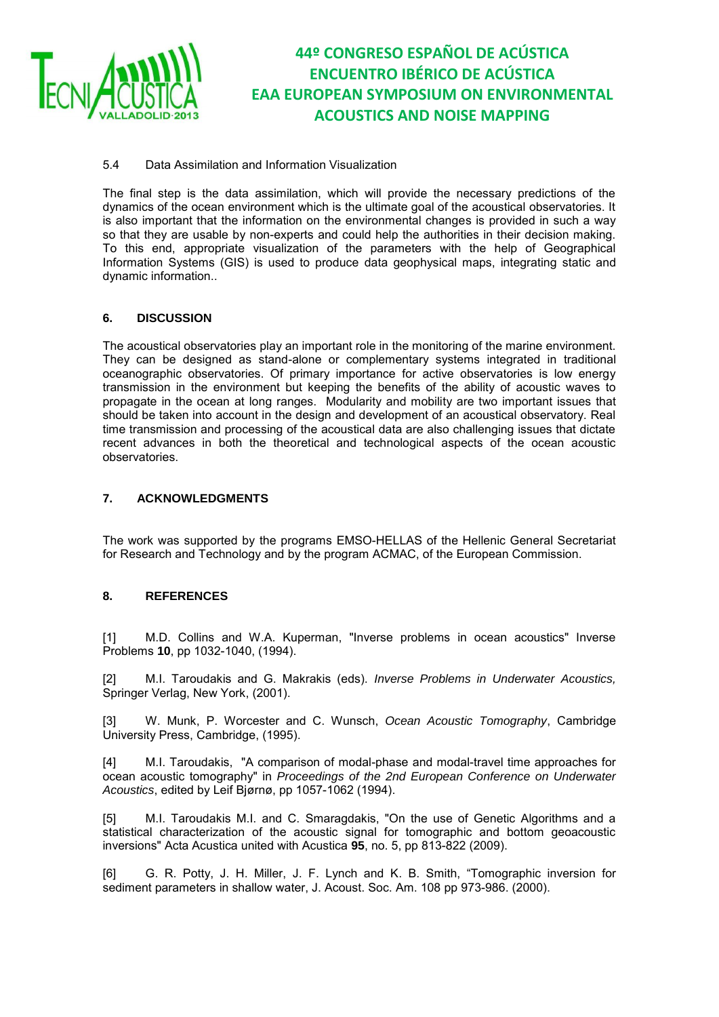

#### 5.4 Data Assimilation and Information Visualization

The final step is the data assimilation, which will provide the necessary predictions of the dynamics of the ocean environment which is the ultimate goal of the acoustical observatories. It is also important that the information on the environmental changes is provided in such a way so that they are usable by non-experts and could help the authorities in their decision making. To this end, appropriate visualization of the parameters with the help of Geographical Information Systems (GIS) is used to produce data geophysical maps, integrating static and dynamic information..

#### **6. DISCUSSION**

The acoustical observatories play an important role in the monitoring of the marine environment. They can be designed as stand-alone or complementary systems integrated in traditional oceanographic observatories. Of primary importance for active observatories is low energy transmission in the environment but keeping the benefits of the ability of acoustic waves to propagate in the ocean at long ranges. Modularity and mobility are two important issues that should be taken into account in the design and development of an acoustical observatory. Real time transmission and processing of the acoustical data are also challenging issues that dictate recent advances in both the theoretical and technological aspects of the ocean acoustic observatories.

#### **7. ACKNOWLEDGMENTS**

The work was supported by the programs EMSO-HELLAS of the Hellenic General Secretariat for Research and Technology and by the program ACMAC, of the European Commission.

#### **8. REFERENCES**

[1] M.D. Collins and W.A. Kuperman, "Inverse problems in ocean acoustics" Inverse Problems **10**, pp 1032-1040, (1994).

[2] M.I. Taroudakis and G. Makrakis (eds). *Inverse Problems in Underwater Acoustics,*  Springer Verlag, New York, (2001).

[3] W. Munk, P. Worcester and C. Wunsch, *Ocean Acoustic Tomography*, Cambridge University Press, Cambridge, (1995).

[4] M.I. Taroudakis, "A comparison of modal-phase and modal-travel time approaches for ocean acoustic tomography" in *Proceedings of the 2nd European Conference on Underwater Acoustics*, edited by Leif Bjørnø, pp 1057-1062 (1994).

[5] M.I. Taroudakis M.I. and C. Smaragdakis, "On the use of Genetic Algorithms and a statistical characterization of the acoustic signal for tomographic and bottom geoacoustic inversions" Acta Acustica united with Acustica **95**, no. 5, pp 813-822 (2009).

[6] G. R. Potty, J. H. Miller, J. F. Lynch and K. B. Smith, "Tomographic inversion for sediment parameters in shallow water, J. Acoust. Soc. Am. 108 pp 973-986. (2000).